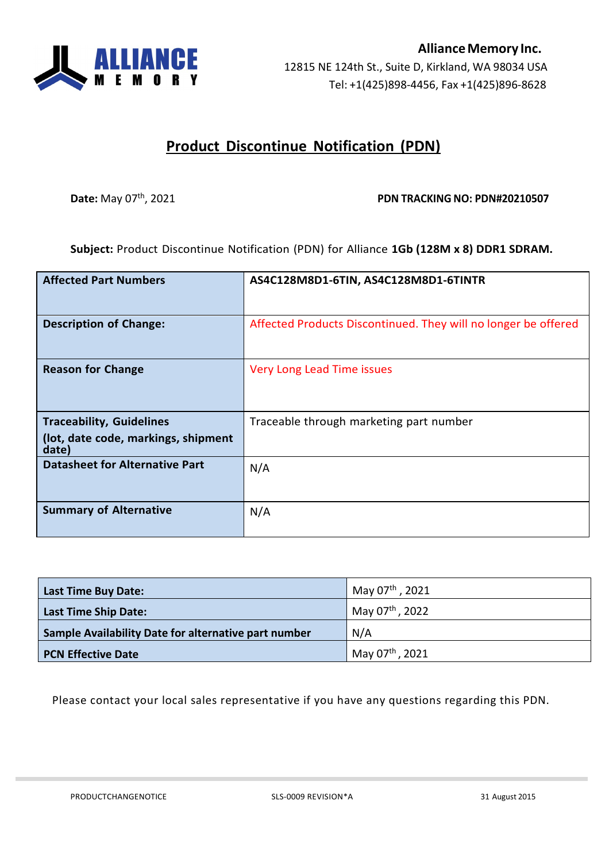

## **Product Discontinue Notification (PDN)**

## **Date:** May 07<sup>th</sup>, 2021 **PDN PDN TRACKING NO: PDN#20210507**

**Subject:** Product Discontinue Notification (PDN) for Alliance **1Gb (128M x 8) DDR1 SDRAM.**

| <b>Affected Part Numbers</b>                 | AS4C128M8D1-6TIN, AS4C128M8D1-6TINTR                           |
|----------------------------------------------|----------------------------------------------------------------|
| <b>Description of Change:</b>                | Affected Products Discontinued. They will no longer be offered |
| <b>Reason for Change</b>                     | Very Long Lead Time issues                                     |
| <b>Traceability, Guidelines</b>              | Traceable through marketing part number                        |
| (lot, date code, markings, shipment<br>date) |                                                                |
| <b>Datasheet for Alternative Part</b>        | N/A                                                            |
| <b>Summary of Alternative</b>                | N/A                                                            |

| <b>Last Time Buy Date:</b>                           | May 07th, 2021              |
|------------------------------------------------------|-----------------------------|
| <b>Last Time Ship Date:</b>                          | May 07 <sup>th</sup> , 2022 |
| Sample Availability Date for alternative part number | N/A                         |
| <b>PCN Effective Date</b>                            | May 07th, 2021              |

Please contact your local sales representative if you have any questions regarding this PDN.